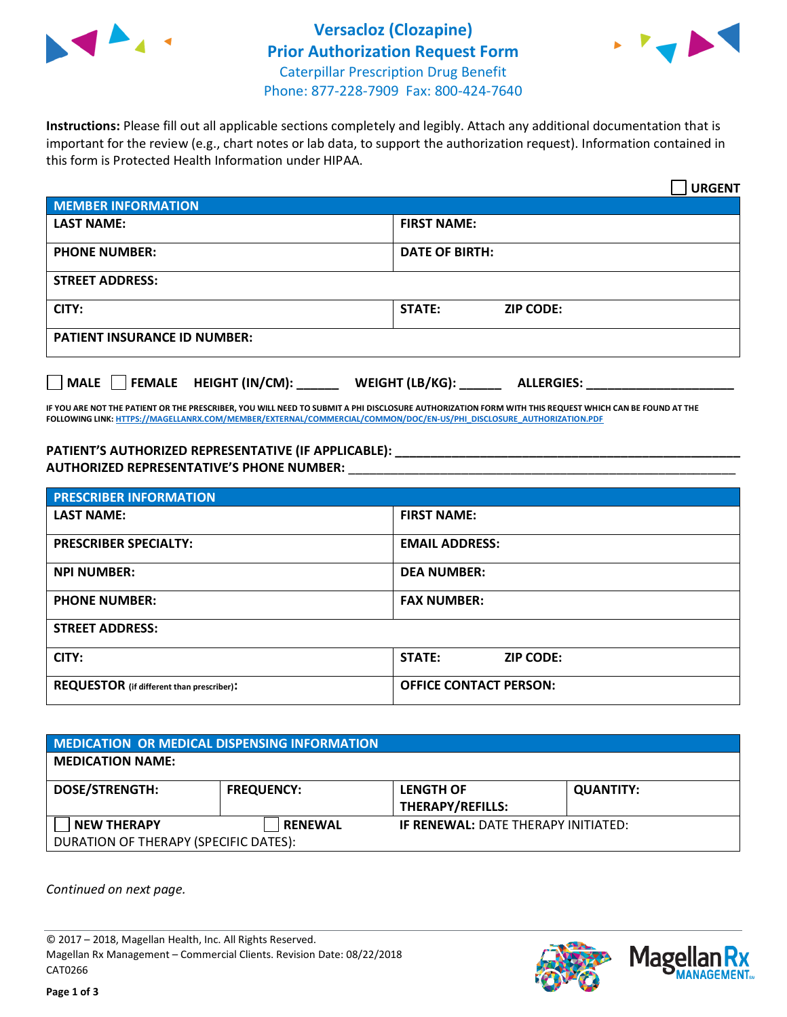



**Instructions:** Please fill out all applicable sections completely and legibly. Attach any additional documentation that is important for the review (e.g., chart notes or lab data, to support the authorization request). Information contained in this form is Protected Health Information under HIPAA.

|                                       | <b>URGENT</b>                        |
|---------------------------------------|--------------------------------------|
| <b>MEMBER INFORMATION</b>             |                                      |
| <b>LAST NAME:</b>                     | <b>FIRST NAME:</b>                   |
| <b>PHONE NUMBER:</b>                  | <b>DATE OF BIRTH:</b>                |
| <b>STREET ADDRESS:</b>                |                                      |
| CITY:                                 | STATE:<br><b>ZIP CODE:</b>           |
| <b>PATIENT INSURANCE ID NUMBER:</b>   |                                      |
| FEMALE HEIGHT (IN/CM):<br><b>MALE</b> | WEIGHT (LB/KG):<br><b>ALLERGIES:</b> |

**IF YOU ARE NOT THE PATIENT OR THE PRESCRIBER, YOU WILL NEED TO SUBMIT A PHI DISCLOSURE AUTHORIZATION FORM WITH THIS REQUEST WHICH CAN BE FOUND AT THE FOLLOWING LINK[: HTTPS://MAGELLANRX.COM/MEMBER/EXTERNAL/COMMERCIAL/COMMON/DOC/EN-US/PHI\\_DISCLOSURE\\_AUTHORIZATION.PDF](https://magellanrx.com/member/external/commercial/common/doc/en-us/PHI_Disclosure_Authorization.pdf)**

**PATIENT'S AUTHORIZED REPRESENTATIVE (IF APPLICABLE): \_\_\_\_\_\_\_\_\_\_\_\_\_\_\_\_\_\_\_\_\_\_\_\_\_\_\_\_\_\_\_\_\_\_\_\_\_\_\_\_\_\_\_\_\_\_\_\_\_ AUTHORIZED REPRESENTATIVE'S PHONE NUMBER:** \_\_\_\_\_\_\_\_\_\_\_\_\_\_\_\_\_\_\_\_\_\_\_\_\_\_\_\_\_\_\_\_\_\_\_\_\_\_\_\_\_\_\_\_\_\_\_\_\_\_\_\_\_\_\_

| <b>PRESCRIBER INFORMATION</b>             |                               |  |
|-------------------------------------------|-------------------------------|--|
| <b>LAST NAME:</b>                         | <b>FIRST NAME:</b>            |  |
| <b>PRESCRIBER SPECIALTY:</b>              | <b>EMAIL ADDRESS:</b>         |  |
| <b>NPI NUMBER:</b>                        | <b>DEA NUMBER:</b>            |  |
| <b>PHONE NUMBER:</b>                      | <b>FAX NUMBER:</b>            |  |
| <b>STREET ADDRESS:</b>                    |                               |  |
| CITY:                                     | STATE:<br><b>ZIP CODE:</b>    |  |
| REQUESTOR (if different than prescriber): | <b>OFFICE CONTACT PERSON:</b> |  |

| <b>MEDICATION OR MEDICAL DISPENSING INFORMATION</b> |                   |                                            |                  |  |  |
|-----------------------------------------------------|-------------------|--------------------------------------------|------------------|--|--|
| <b>MEDICATION NAME:</b>                             |                   |                                            |                  |  |  |
| <b>DOSE/STRENGTH:</b>                               | <b>FREQUENCY:</b> | <b>LENGTH OF</b>                           | <b>QUANTITY:</b> |  |  |
|                                                     |                   | <b>THERAPY/REFILLS:</b>                    |                  |  |  |
| <b>NEW THERAPY</b>                                  | <b>RENEWAL</b>    | <b>IF RENEWAL: DATE THERAPY INITIATED:</b> |                  |  |  |
| DURATION OF THERAPY (SPECIFIC DATES):               |                   |                                            |                  |  |  |

*Continued on next page.*

© 2017 – 2018, Magellan Health, Inc. All Rights Reserved. Magellan Rx Management – Commercial Clients. Revision Date: 08/22/2018 CAT0266



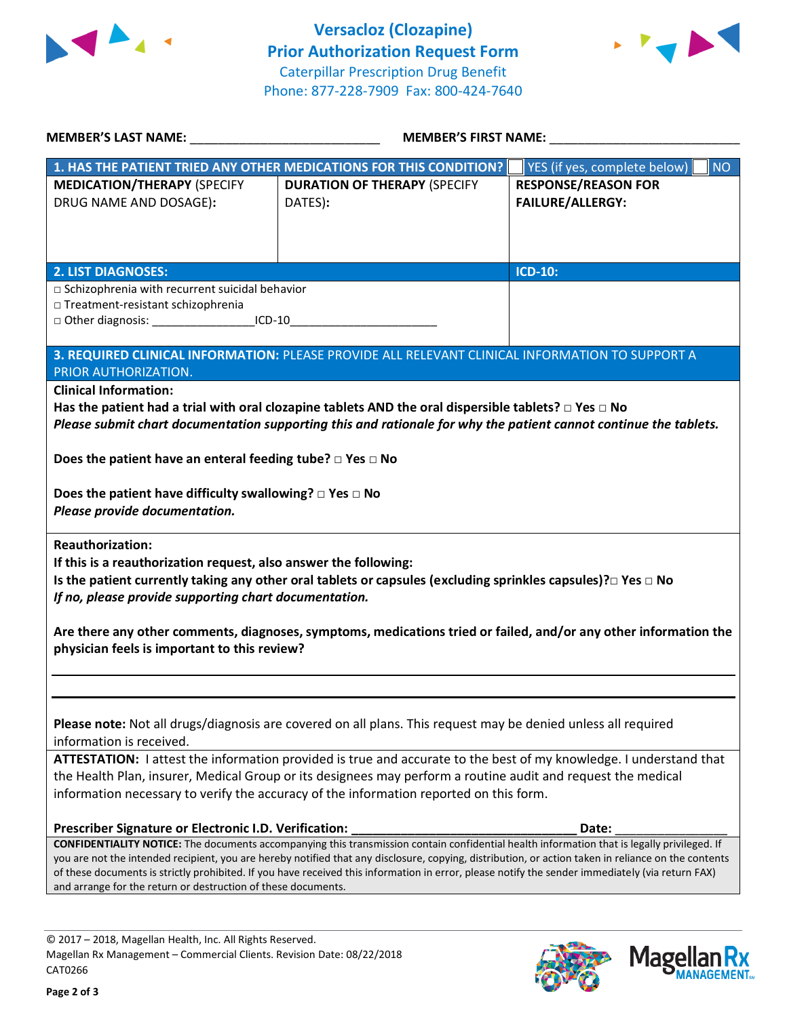



| MEMBER'S LAST NAME: NAME:                                                                                | MEMBER'S FIRST NAME:                                                                                                                             |                                                                                                                                                                                                                                                                                                    |  |
|----------------------------------------------------------------------------------------------------------|--------------------------------------------------------------------------------------------------------------------------------------------------|----------------------------------------------------------------------------------------------------------------------------------------------------------------------------------------------------------------------------------------------------------------------------------------------------|--|
|                                                                                                          | 1. HAS THE PATIENT TRIED ANY OTHER MEDICATIONS FOR THIS CONDITION?                                                                               | YES (if yes, complete below)<br>NO                                                                                                                                                                                                                                                                 |  |
| <b>MEDICATION/THERAPY (SPECIFY</b>                                                                       | <b>DURATION OF THERAPY (SPECIFY</b>                                                                                                              | <b>RESPONSE/REASON FOR</b>                                                                                                                                                                                                                                                                         |  |
| DRUG NAME AND DOSAGE):                                                                                   | DATES):                                                                                                                                          | <b>FAILURE/ALLERGY:</b>                                                                                                                                                                                                                                                                            |  |
|                                                                                                          |                                                                                                                                                  |                                                                                                                                                                                                                                                                                                    |  |
|                                                                                                          |                                                                                                                                                  |                                                                                                                                                                                                                                                                                                    |  |
| <b>2. LIST DIAGNOSES:</b>                                                                                |                                                                                                                                                  | <b>ICD-10:</b>                                                                                                                                                                                                                                                                                     |  |
| □ Schizophrenia with recurrent suicidal behavior                                                         |                                                                                                                                                  |                                                                                                                                                                                                                                                                                                    |  |
| □ Treatment-resistant schizophrenia                                                                      |                                                                                                                                                  |                                                                                                                                                                                                                                                                                                    |  |
| □ Other diagnosis: ________________________ICD-10______________________________                          |                                                                                                                                                  |                                                                                                                                                                                                                                                                                                    |  |
|                                                                                                          | 3. REQUIRED CLINICAL INFORMATION: PLEASE PROVIDE ALL RELEVANT CLINICAL INFORMATION TO SUPPORT A                                                  |                                                                                                                                                                                                                                                                                                    |  |
| PRIOR AUTHORIZATION.                                                                                     |                                                                                                                                                  |                                                                                                                                                                                                                                                                                                    |  |
| <b>Clinical Information:</b>                                                                             |                                                                                                                                                  |                                                                                                                                                                                                                                                                                                    |  |
|                                                                                                          | Has the patient had a trial with oral clozapine tablets AND the oral dispersible tablets? $\Box$ Yes $\Box$ No                                   |                                                                                                                                                                                                                                                                                                    |  |
|                                                                                                          | Please submit chart documentation supporting this and rationale for why the patient cannot continue the tablets.                                 |                                                                                                                                                                                                                                                                                                    |  |
|                                                                                                          |                                                                                                                                                  |                                                                                                                                                                                                                                                                                                    |  |
| Does the patient have an enteral feeding tube? $\Box$ Yes $\Box$ No                                      |                                                                                                                                                  |                                                                                                                                                                                                                                                                                                    |  |
|                                                                                                          |                                                                                                                                                  |                                                                                                                                                                                                                                                                                                    |  |
| Does the patient have difficulty swallowing? $\square$ Yes $\square$ No<br>Please provide documentation. |                                                                                                                                                  |                                                                                                                                                                                                                                                                                                    |  |
|                                                                                                          |                                                                                                                                                  |                                                                                                                                                                                                                                                                                                    |  |
| <b>Reauthorization:</b>                                                                                  |                                                                                                                                                  |                                                                                                                                                                                                                                                                                                    |  |
| If this is a reauthorization request, also answer the following:                                         |                                                                                                                                                  |                                                                                                                                                                                                                                                                                                    |  |
|                                                                                                          | Is the patient currently taking any other oral tablets or capsules (excluding sprinkles capsules)? $\Box$ Yes $\Box$ No                          |                                                                                                                                                                                                                                                                                                    |  |
| If no, please provide supporting chart documentation.                                                    |                                                                                                                                                  |                                                                                                                                                                                                                                                                                                    |  |
|                                                                                                          |                                                                                                                                                  |                                                                                                                                                                                                                                                                                                    |  |
|                                                                                                          |                                                                                                                                                  | Are there any other comments, diagnoses, symptoms, medications tried or failed, and/or any other information the                                                                                                                                                                                   |  |
| physician feels is important to this review?                                                             |                                                                                                                                                  |                                                                                                                                                                                                                                                                                                    |  |
|                                                                                                          |                                                                                                                                                  |                                                                                                                                                                                                                                                                                                    |  |
|                                                                                                          |                                                                                                                                                  |                                                                                                                                                                                                                                                                                                    |  |
|                                                                                                          | Please note: Not all drugs/diagnosis are covered on all plans. This request may be denied unless all required                                    |                                                                                                                                                                                                                                                                                                    |  |
| information is received.                                                                                 |                                                                                                                                                  |                                                                                                                                                                                                                                                                                                    |  |
|                                                                                                          |                                                                                                                                                  | ATTESTATION: I attest the information provided is true and accurate to the best of my knowledge. I understand that                                                                                                                                                                                 |  |
|                                                                                                          | the Health Plan, insurer, Medical Group or its designees may perform a routine audit and request the medical                                     |                                                                                                                                                                                                                                                                                                    |  |
|                                                                                                          | information necessary to verify the accuracy of the information reported on this form.                                                           |                                                                                                                                                                                                                                                                                                    |  |
|                                                                                                          |                                                                                                                                                  |                                                                                                                                                                                                                                                                                                    |  |
|                                                                                                          |                                                                                                                                                  |                                                                                                                                                                                                                                                                                                    |  |
| Prescriber Signature or Electronic I.D. Verification:                                                    |                                                                                                                                                  | Date:                                                                                                                                                                                                                                                                                              |  |
|                                                                                                          |                                                                                                                                                  | CONFIDENTIALITY NOTICE: The documents accompanying this transmission contain confidential health information that is legally privileged. If<br>you are not the intended recipient, you are hereby notified that any disclosure, copying, distribution, or action taken in reliance on the contents |  |
| and arrange for the return or destruction of these documents.                                            | of these documents is strictly prohibited. If you have received this information in error, please notify the sender immediately (via return FAX) |                                                                                                                                                                                                                                                                                                    |  |

© 2017 – 2018, Magellan Health, Inc. All Rights Reserved. Magellan Rx Management – Commercial Clients. Revision Date: 08/22/2018 CAT0266